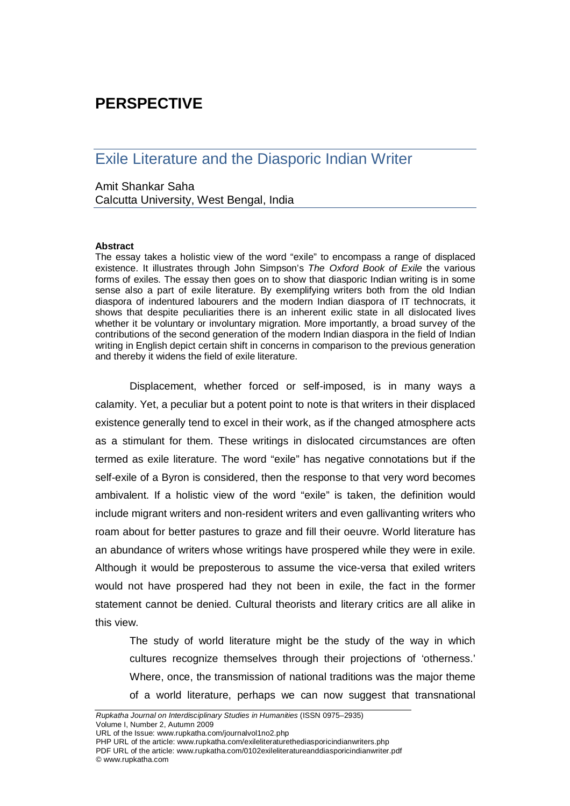# **PERSPECTIVE**

## Exile Literature and the Diasporic Indian Writer

## Amit Shankar Saha

Calcutta University, West Bengal, India

### **Abstract**

The essay takes a holistic view of the word "exile" to encompass a range of displaced existence. It illustrates through John Simpson's *The Oxford Book of Exile* the various forms of exiles. The essay then goes on to show that diasporic Indian writing is in some sense also a part of exile literature. By exemplifying writers both from the old Indian diaspora of indentured labourers and the modern Indian diaspora of IT technocrats, it shows that despite peculiarities there is an inherent exilic state in all dislocated lives whether it be voluntary or involuntary migration. More importantly, a broad survey of the contributions of the second generation of the modern Indian diaspora in the field of Indian writing in English depict certain shift in concerns in comparison to the previous generation and thereby it widens the field of exile literature.

Displacement, whether forced or self-imposed, is in many ways a calamity. Yet, a peculiar but a potent point to note is that writers in their displaced existence generally tend to excel in their work, as if the changed atmosphere acts as a stimulant for them. These writings in dislocated circumstances are often termed as exile literature. The word "exile" has negative connotations but if the self-exile of a Byron is considered, then the response to that very word becomes ambivalent. If a holistic view of the word "exile" is taken, the definition would include migrant writers and non-resident writers and even gallivanting writers who roam about for better pastures to graze and fill their oeuvre. World literature has an abundance of writers whose writings have prospered while they were in exile. Although it would be preposterous to assume the vice-versa that exiled writers would not have prospered had they not been in exile, the fact in the former statement cannot be denied. Cultural theorists and literary critics are all alike in this view.

The study of world literature might be the study of the way in which cultures recognize themselves through their projections of 'otherness.' Where, once, the transmission of national traditions was the major theme of a world literature, perhaps we can now suggest that transnational

URL of the Issue: www.rupkatha.com/journalvol1no2.php

PHP URL of the article: www.rupkatha.com/exileliteraturethediasporicindianwriters.php PDF URL of the article: www.rupkatha.com/0102exileliteratureanddiasporicindianwriter.pdf © www.rupkatha.com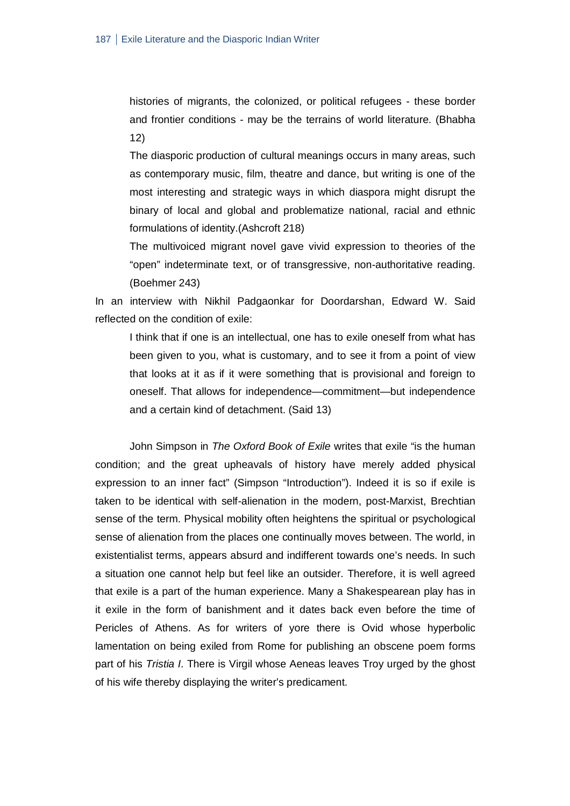histories of migrants, the colonized, or political refugees - these border and frontier conditions - may be the terrains of world literature. (Bhabha 12)

The diasporic production of cultural meanings occurs in many areas, such as contemporary music, film, theatre and dance, but writing is one of the most interesting and strategic ways in which diaspora might disrupt the binary of local and global and problematize national, racial and ethnic formulations of identity.(Ashcroft 218)

The multivoiced migrant novel gave vivid expression to theories of the "open" indeterminate text, or of transgressive, non-authoritative reading. (Boehmer 243)

In an interview with Nikhil Padgaonkar for Doordarshan, Edward W. Said reflected on the condition of exile:

I think that if one is an intellectual, one has to exile oneself from what has been given to you, what is customary, and to see it from a point of view that looks at it as if it were something that is provisional and foreign to oneself. That allows for independence—commitment—but independence and a certain kind of detachment. (Said 13)

John Simpson in *The Oxford Book of Exile* writes that exile "is the human condition; and the great upheavals of history have merely added physical expression to an inner fact" (Simpson "Introduction"). Indeed it is so if exile is taken to be identical with self-alienation in the modern, post-Marxist, Brechtian sense of the term. Physical mobility often heightens the spiritual or psychological sense of alienation from the places one continually moves between. The world, in existentialist terms, appears absurd and indifferent towards one's needs. In such a situation one cannot help but feel like an outsider. Therefore, it is well agreed that exile is a part of the human experience. Many a Shakespearean play has in it exile in the form of banishment and it dates back even before the time of Pericles of Athens. As for writers of yore there is Ovid whose hyperbolic lamentation on being exiled from Rome for publishing an obscene poem forms part of his *Tristia I*. There is Virgil whose Aeneas leaves Troy urged by the ghost of his wife thereby displaying the writer's predicament.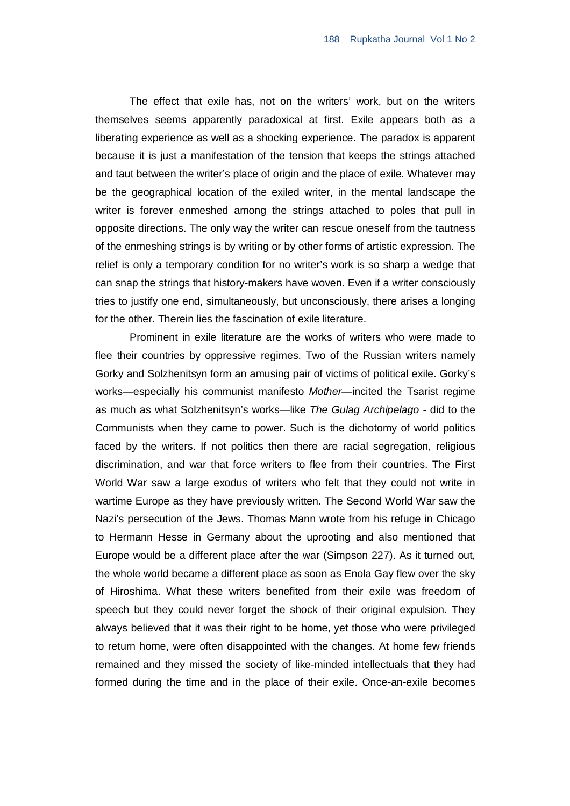The effect that exile has, not on the writers' work, but on the writers themselves seems apparently paradoxical at first. Exile appears both as a liberating experience as well as a shocking experience. The paradox is apparent because it is just a manifestation of the tension that keeps the strings attached and taut between the writer's place of origin and the place of exile. Whatever may be the geographical location of the exiled writer, in the mental landscape the writer is forever enmeshed among the strings attached to poles that pull in opposite directions. The only way the writer can rescue oneself from the tautness of the enmeshing strings is by writing or by other forms of artistic expression. The relief is only a temporary condition for no writer's work is so sharp a wedge that can snap the strings that history-makers have woven. Even if a writer consciously tries to justify one end, simultaneously, but unconsciously, there arises a longing for the other. Therein lies the fascination of exile literature.

Prominent in exile literature are the works of writers who were made to flee their countries by oppressive regimes. Two of the Russian writers namely Gorky and Solzhenitsyn form an amusing pair of victims of political exile. Gorky's works—especially his communist manifesto *Mother*—incited the Tsarist regime as much as what Solzhenitsyn's works—like *The Gulag Archipelago* - did to the Communists when they came to power. Such is the dichotomy of world politics faced by the writers. If not politics then there are racial segregation, religious discrimination, and war that force writers to flee from their countries. The First World War saw a large exodus of writers who felt that they could not write in wartime Europe as they have previously written. The Second World War saw the Nazi's persecution of the Jews. Thomas Mann wrote from his refuge in Chicago to Hermann Hesse in Germany about the uprooting and also mentioned that Europe would be a different place after the war (Simpson 227). As it turned out, the whole world became a different place as soon as Enola Gay flew over the sky of Hiroshima. What these writers benefited from their exile was freedom of speech but they could never forget the shock of their original expulsion. They always believed that it was their right to be home, yet those who were privileged to return home, were often disappointed with the changes. At home few friends remained and they missed the society of like-minded intellectuals that they had formed during the time and in the place of their exile. Once-an-exile becomes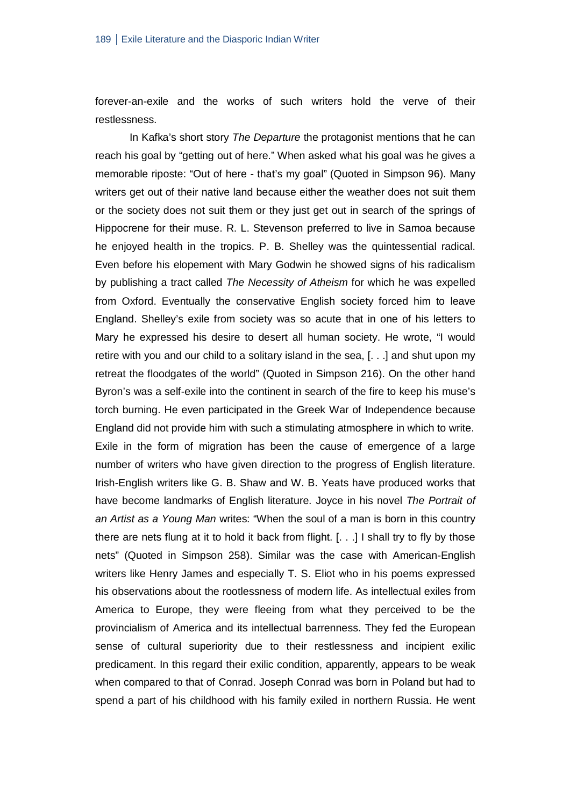forever-an-exile and the works of such writers hold the verve of their restlessness.

In Kafka's short story *The Departure* the protagonist mentions that he can reach his goal by "getting out of here." When asked what his goal was he gives a memorable riposte: "Out of here - that's my goal" (Quoted in Simpson 96). Many writers get out of their native land because either the weather does not suit them or the society does not suit them or they just get out in search of the springs of Hippocrene for their muse. R. L. Stevenson preferred to live in Samoa because he enjoyed health in the tropics. P. B. Shelley was the quintessential radical. Even before his elopement with Mary Godwin he showed signs of his radicalism by publishing a tract called *The Necessity of Atheism* for which he was expelled from Oxford. Eventually the conservative English society forced him to leave England. Shelley's exile from society was so acute that in one of his letters to Mary he expressed his desire to desert all human society. He wrote, "I would retire with you and our child to a solitary island in the sea, [. . .] and shut upon my retreat the floodgates of the world" (Quoted in Simpson 216). On the other hand Byron's was a self-exile into the continent in search of the fire to keep his muse's torch burning. He even participated in the Greek War of Independence because England did not provide him with such a stimulating atmosphere in which to write. Exile in the form of migration has been the cause of emergence of a large number of writers who have given direction to the progress of English literature. Irish-English writers like G. B. Shaw and W. B. Yeats have produced works that have become landmarks of English literature. Joyce in his novel *The Portrait of an Artist as a Young Man* writes: "When the soul of a man is born in this country there are nets flung at it to hold it back from flight. [. . .] I shall try to fly by those nets" (Quoted in Simpson 258). Similar was the case with American-English writers like Henry James and especially T. S. Eliot who in his poems expressed his observations about the rootlessness of modern life. As intellectual exiles from America to Europe, they were fleeing from what they perceived to be the provincialism of America and its intellectual barrenness. They fed the European sense of cultural superiority due to their restlessness and incipient exilic predicament. In this regard their exilic condition, apparently, appears to be weak when compared to that of Conrad. Joseph Conrad was born in Poland but had to spend a part of his childhood with his family exiled in northern Russia. He went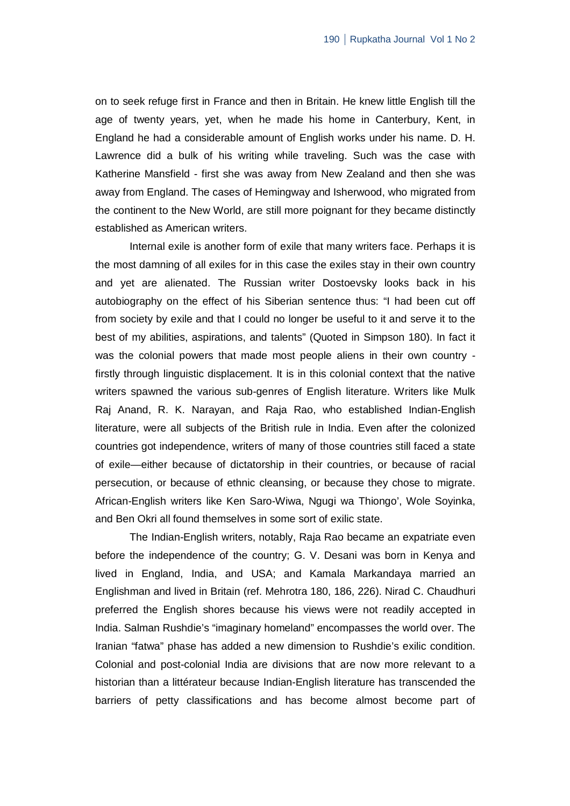on to seek refuge first in France and then in Britain. He knew little English till the age of twenty years, yet, when he made his home in Canterbury, Kent, in England he had a considerable amount of English works under his name. D. H. Lawrence did a bulk of his writing while traveling. Such was the case with Katherine Mansfield - first she was away from New Zealand and then she was away from England. The cases of Hemingway and Isherwood, who migrated from the continent to the New World, are still more poignant for they became distinctly established as American writers.

Internal exile is another form of exile that many writers face. Perhaps it is the most damning of all exiles for in this case the exiles stay in their own country and yet are alienated. The Russian writer Dostoevsky looks back in his autobiography on the effect of his Siberian sentence thus: "I had been cut off from society by exile and that I could no longer be useful to it and serve it to the best of my abilities, aspirations, and talents" (Quoted in Simpson 180). In fact it was the colonial powers that made most people aliens in their own country firstly through linguistic displacement. It is in this colonial context that the native writers spawned the various sub-genres of English literature. Writers like Mulk Raj Anand, R. K. Narayan, and Raja Rao, who established Indian-English literature, were all subjects of the British rule in India. Even after the colonized countries got independence, writers of many of those countries still faced a state of exile—either because of dictatorship in their countries, or because of racial persecution, or because of ethnic cleansing, or because they chose to migrate. African-English writers like Ken Saro-Wiwa, Ngugi wa Thiongo', Wole Soyinka, and Ben Okri all found themselves in some sort of exilic state.

The Indian-English writers, notably, Raja Rao became an expatriate even before the independence of the country; G. V. Desani was born in Kenya and lived in England, India, and USA; and Kamala Markandaya married an Englishman and lived in Britain (ref. Mehrotra 180, 186, 226). Nirad C. Chaudhuri preferred the English shores because his views were not readily accepted in India. Salman Rushdie's "imaginary homeland" encompasses the world over. The Iranian "fatwa" phase has added a new dimension to Rushdie's exilic condition. Colonial and post-colonial India are divisions that are now more relevant to a historian than a littérateur because Indian-English literature has transcended the barriers of petty classifications and has become almost become part of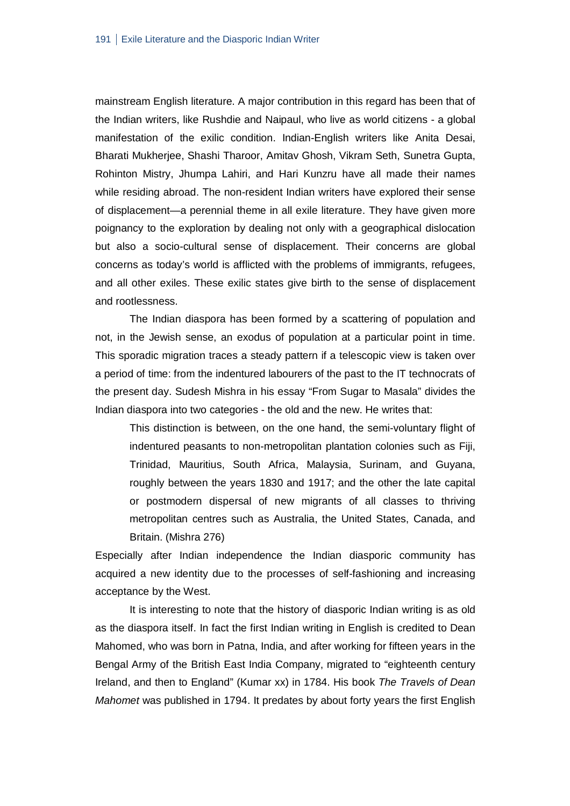mainstream English literature. A major contribution in this regard has been that of the Indian writers, like Rushdie and Naipaul, who live as world citizens - a global manifestation of the exilic condition. Indian-English writers like Anita Desai, Bharati Mukherjee, Shashi Tharoor, Amitav Ghosh, Vikram Seth, Sunetra Gupta, Rohinton Mistry, Jhumpa Lahiri, and Hari Kunzru have all made their names while residing abroad. The non-resident Indian writers have explored their sense of displacement—a perennial theme in all exile literature. They have given more poignancy to the exploration by dealing not only with a geographical dislocation but also a socio-cultural sense of displacement. Their concerns are global concerns as today's world is afflicted with the problems of immigrants, refugees, and all other exiles. These exilic states give birth to the sense of displacement and rootlessness.

The Indian diaspora has been formed by a scattering of population and not, in the Jewish sense, an exodus of population at a particular point in time. This sporadic migration traces a steady pattern if a telescopic view is taken over a period of time: from the indentured labourers of the past to the IT technocrats of the present day. Sudesh Mishra in his essay "From Sugar to Masala" divides the Indian diaspora into two categories - the old and the new. He writes that:

This distinction is between, on the one hand, the semi-voluntary flight of indentured peasants to non-metropolitan plantation colonies such as Fiji, Trinidad, Mauritius, South Africa, Malaysia, Surinam, and Guyana, roughly between the years 1830 and 1917; and the other the late capital or postmodern dispersal of new migrants of all classes to thriving metropolitan centres such as Australia, the United States, Canada, and Britain. (Mishra 276)

Especially after Indian independence the Indian diasporic community has acquired a new identity due to the processes of self-fashioning and increasing acceptance by the West.

It is interesting to note that the history of diasporic Indian writing is as old as the diaspora itself. In fact the first Indian writing in English is credited to Dean Mahomed, who was born in Patna, India, and after working for fifteen years in the Bengal Army of the British East India Company, migrated to "eighteenth century Ireland, and then to England" (Kumar xx) in 1784. His book *The Travels of Dean Mahomet* was published in 1794. It predates by about forty years the first English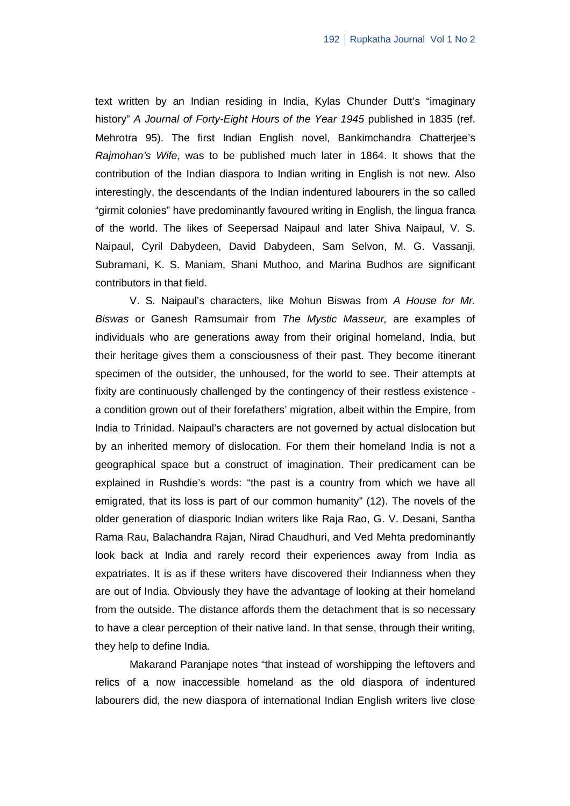text written by an Indian residing in India, Kylas Chunder Dutt's "imaginary history" *A Journal of Forty-Eight Hours of the Year 1945* published in 1835 (ref. Mehrotra 95). The first Indian English novel, Bankimchandra Chatterjee's *Rajmohan's Wife*, was to be published much later in 1864. It shows that the contribution of the Indian diaspora to Indian writing in English is not new. Also interestingly, the descendants of the Indian indentured labourers in the so called "girmit colonies" have predominantly favoured writing in English, the lingua franca of the world. The likes of Seepersad Naipaul and later Shiva Naipaul, V. S. Naipaul, Cyril Dabydeen, David Dabydeen, Sam Selvon, M. G. Vassanji, Subramani, K. S. Maniam, Shani Muthoo, and Marina Budhos are significant contributors in that field.

V. S. Naipaul's characters, like Mohun Biswas from *A House for Mr. Biswas* or Ganesh Ramsumair from *The Mystic Masseur,* are examples of individuals who are generations away from their original homeland, India, but their heritage gives them a consciousness of their past. They become itinerant specimen of the outsider, the unhoused, for the world to see. Their attempts at fixity are continuously challenged by the contingency of their restless existence a condition grown out of their forefathers' migration, albeit within the Empire, from India to Trinidad. Naipaul's characters are not governed by actual dislocation but by an inherited memory of dislocation. For them their homeland India is not a geographical space but a construct of imagination. Their predicament can be explained in Rushdie's words: "the past is a country from which we have all emigrated, that its loss is part of our common humanity" (12). The novels of the older generation of diasporic Indian writers like Raja Rao, G. V. Desani, Santha Rama Rau, Balachandra Rajan, Nirad Chaudhuri, and Ved Mehta predominantly look back at India and rarely record their experiences away from India as expatriates. It is as if these writers have discovered their Indianness when they are out of India. Obviously they have the advantage of looking at their homeland from the outside. The distance affords them the detachment that is so necessary to have a clear perception of their native land. In that sense, through their writing, they help to define India.

Makarand Paranjape notes "that instead of worshipping the leftovers and relics of a now inaccessible homeland as the old diaspora of indentured labourers did, the new diaspora of international Indian English writers live close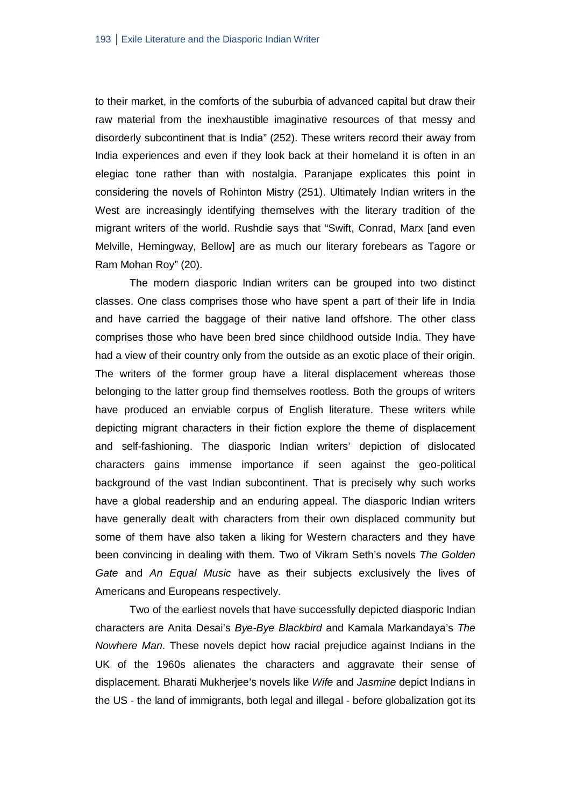to their market, in the comforts of the suburbia of advanced capital but draw their raw material from the inexhaustible imaginative resources of that messy and disorderly subcontinent that is India" (252). These writers record their away from India experiences and even if they look back at their homeland it is often in an elegiac tone rather than with nostalgia. Paranjape explicates this point in considering the novels of Rohinton Mistry (251). Ultimately Indian writers in the West are increasingly identifying themselves with the literary tradition of the migrant writers of the world. Rushdie says that "Swift, Conrad, Marx [and even Melville, Hemingway, Bellow] are as much our literary forebears as Tagore or Ram Mohan Roy" (20).

The modern diasporic Indian writers can be grouped into two distinct classes. One class comprises those who have spent a part of their life in India and have carried the baggage of their native land offshore. The other class comprises those who have been bred since childhood outside India. They have had a view of their country only from the outside as an exotic place of their origin. The writers of the former group have a literal displacement whereas those belonging to the latter group find themselves rootless. Both the groups of writers have produced an enviable corpus of English literature. These writers while depicting migrant characters in their fiction explore the theme of displacement and self-fashioning. The diasporic Indian writers' depiction of dislocated characters gains immense importance if seen against the geo-political background of the vast Indian subcontinent. That is precisely why such works have a global readership and an enduring appeal. The diasporic Indian writers have generally dealt with characters from their own displaced community but some of them have also taken a liking for Western characters and they have been convincing in dealing with them. Two of Vikram Seth's novels *The Golden Gate* and *An Equal Music* have as their subjects exclusively the lives of Americans and Europeans respectively.

Two of the earliest novels that have successfully depicted diasporic Indian characters are Anita Desai's *Bye-Bye Blackbird* and Kamala Markandaya's *The Nowhere Man*. These novels depict how racial prejudice against Indians in the UK of the 1960s alienates the characters and aggravate their sense of displacement. Bharati Mukherjee's novels like *Wife* and *Jasmine* depict Indians in the US - the land of immigrants, both legal and illegal - before globalization got its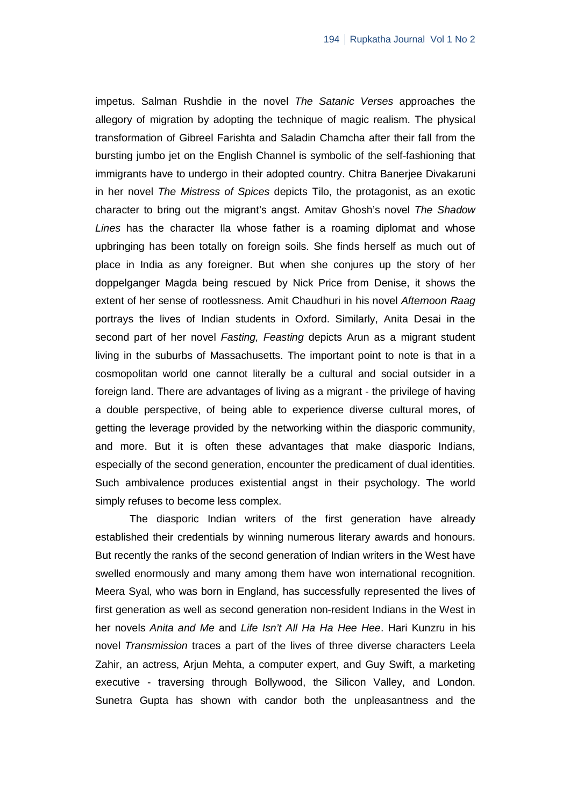impetus. Salman Rushdie in the novel *The Satanic Verses* approaches the allegory of migration by adopting the technique of magic realism. The physical transformation of Gibreel Farishta and Saladin Chamcha after their fall from the bursting jumbo jet on the English Channel is symbolic of the self-fashioning that immigrants have to undergo in their adopted country. Chitra Banerjee Divakaruni in her novel *The Mistress of Spices* depicts Tilo, the protagonist, as an exotic character to bring out the migrant's angst. Amitav Ghosh's novel *The Shadow Lines* has the character Ila whose father is a roaming diplomat and whose upbringing has been totally on foreign soils. She finds herself as much out of place in India as any foreigner. But when she conjures up the story of her doppelganger Magda being rescued by Nick Price from Denise, it shows the extent of her sense of rootlessness. Amit Chaudhuri in his novel *Afternoon Raag* portrays the lives of Indian students in Oxford. Similarly, Anita Desai in the second part of her novel *Fasting, Feasting* depicts Arun as a migrant student living in the suburbs of Massachusetts. The important point to note is that in a cosmopolitan world one cannot literally be a cultural and social outsider in a foreign land. There are advantages of living as a migrant - the privilege of having a double perspective, of being able to experience diverse cultural mores, of getting the leverage provided by the networking within the diasporic community, and more. But it is often these advantages that make diasporic Indians, especially of the second generation, encounter the predicament of dual identities. Such ambivalence produces existential angst in their psychology. The world simply refuses to become less complex.

The diasporic Indian writers of the first generation have already established their credentials by winning numerous literary awards and honours. But recently the ranks of the second generation of Indian writers in the West have swelled enormously and many among them have won international recognition. Meera Syal, who was born in England, has successfully represented the lives of first generation as well as second generation non-resident Indians in the West in her novels *Anita and Me* and *Life Isn't All Ha Ha Hee Hee*. Hari Kunzru in his novel *Transmission* traces a part of the lives of three diverse characters Leela Zahir, an actress, Arjun Mehta, a computer expert, and Guy Swift, a marketing executive - traversing through Bollywood, the Silicon Valley, and London. Sunetra Gupta has shown with candor both the unpleasantness and the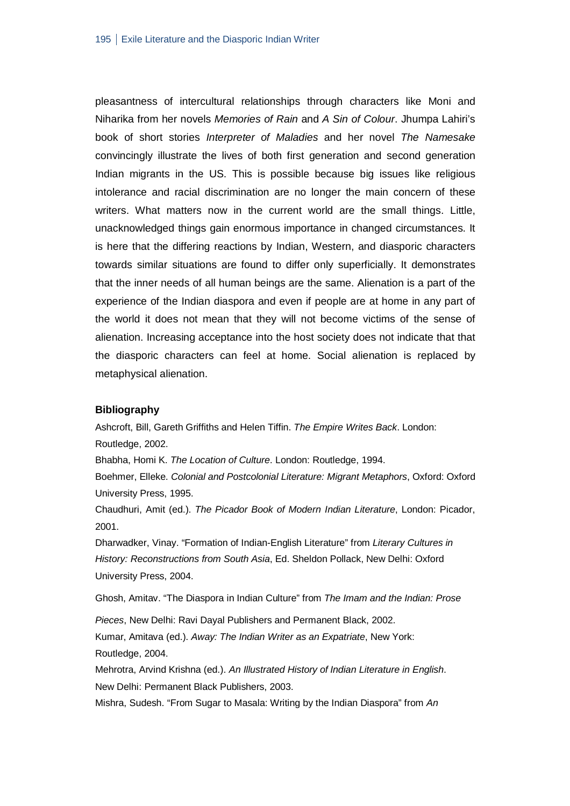pleasantness of intercultural relationships through characters like Moni and Niharika from her novels *Memories of Rain* and *A Sin of Colour*. Jhumpa Lahiri's book of short stories *Interpreter of Maladies* and her novel *The Namesake* convincingly illustrate the lives of both first generation and second generation Indian migrants in the US. This is possible because big issues like religious intolerance and racial discrimination are no longer the main concern of these writers. What matters now in the current world are the small things. Little, unacknowledged things gain enormous importance in changed circumstances. It is here that the differing reactions by Indian, Western, and diasporic characters towards similar situations are found to differ only superficially. It demonstrates that the inner needs of all human beings are the same. Alienation is a part of the experience of the Indian diaspora and even if people are at home in any part of the world it does not mean that they will not become victims of the sense of alienation. Increasing acceptance into the host society does not indicate that that the diasporic characters can feel at home. Social alienation is replaced by metaphysical alienation.

#### **Bibliography**

Ashcroft, Bill, Gareth Griffiths and Helen Tiffin. *The Empire Writes Back*. London: Routledge, 2002.

Bhabha, Homi K. *The Location of Culture*. London: Routledge, 1994.

Boehmer, Elleke. *Colonial and Postcolonial Literature: Migrant Metaphors*, Oxford: Oxford University Press, 1995.

Chaudhuri, Amit (ed.). *The Picador Book of Modern Indian Literature*, London: Picador, 2001.

Dharwadker, Vinay. "Formation of Indian-English Literature" from *Literary Cultures in History: Reconstructions from South Asia*, Ed. Sheldon Pollack, New Delhi: Oxford University Press, 2004.

Ghosh, Amitav. "The Diaspora in Indian Culture" from *The Imam and the Indian: Prose* 

*Pieces*, New Delhi: Ravi Dayal Publishers and Permanent Black, 2002.

Kumar, Amitava (ed.). *Away: The Indian Writer as an Expatriate*, New York: Routledge, 2004.

Mehrotra, Arvind Krishna (ed.). *An Illustrated History of Indian Literature in English*. New Delhi: Permanent Black Publishers, 2003.

Mishra, Sudesh. "From Sugar to Masala: Writing by the Indian Diaspora" from *An*